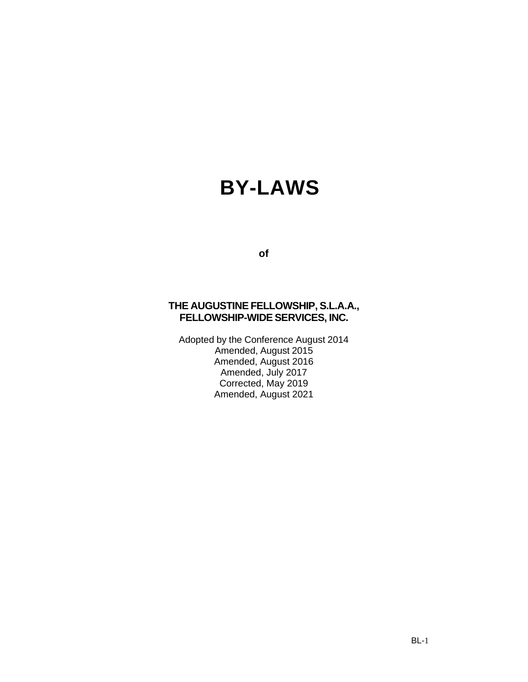# **BY-LAWS**

**of**

# **THE AUGUSTINE FELLOWSHIP, S.L.A.A., FELLOWSHIP-WIDE SERVICES, INC.**

Adopted by the Conference August 2014 Amended, August 2015 Amended, August 2016 Amended, July 2017 Corrected, May 2019 Amended, August 2021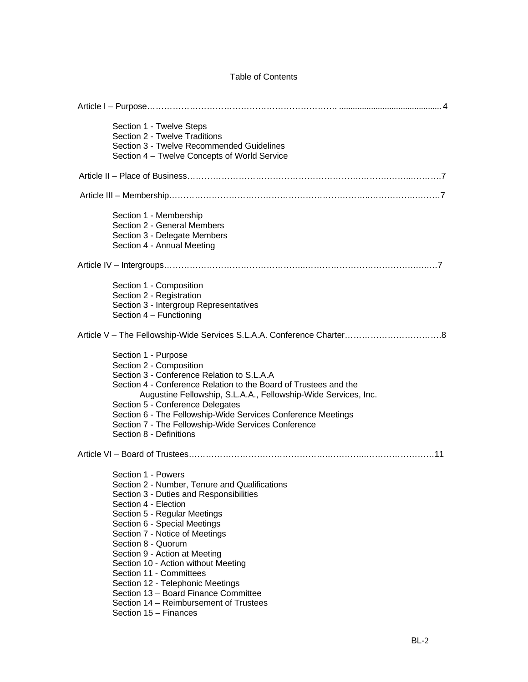# Table of Contents

| Section 1 - Twelve Steps<br>Section 2 - Twelve Traditions<br>Section 3 - Twelve Recommended Guidelines<br>Section 4 – Twelve Concepts of World Service                                                                                                                                                                                                                                                                                                                                                           |
|------------------------------------------------------------------------------------------------------------------------------------------------------------------------------------------------------------------------------------------------------------------------------------------------------------------------------------------------------------------------------------------------------------------------------------------------------------------------------------------------------------------|
|                                                                                                                                                                                                                                                                                                                                                                                                                                                                                                                  |
|                                                                                                                                                                                                                                                                                                                                                                                                                                                                                                                  |
| Section 1 - Membership<br>Section 2 - General Members<br>Section 3 - Delegate Members<br>Section 4 - Annual Meeting                                                                                                                                                                                                                                                                                                                                                                                              |
|                                                                                                                                                                                                                                                                                                                                                                                                                                                                                                                  |
| Section 1 - Composition<br>Section 2 - Registration<br>Section 3 - Intergroup Representatives<br>Section 4 - Functioning                                                                                                                                                                                                                                                                                                                                                                                         |
|                                                                                                                                                                                                                                                                                                                                                                                                                                                                                                                  |
| Section 1 - Purpose<br>Section 2 - Composition<br>Section 3 - Conference Relation to S.L.A.A<br>Section 4 - Conference Relation to the Board of Trustees and the<br>Augustine Fellowship, S.L.A.A., Fellowship-Wide Services, Inc.<br>Section 5 - Conference Delegates<br>Section 6 - The Fellowship-Wide Services Conference Meetings<br>Section 7 - The Fellowship-Wide Services Conference<br>Section 8 - Definitions                                                                                         |
|                                                                                                                                                                                                                                                                                                                                                                                                                                                                                                                  |
| Section 1 - Powers<br>Section 2 - Number, Tenure and Qualifications<br>Section 3 - Duties and Responsibilities<br>Section 4 - Election<br>Section 5 - Regular Meetings<br>Section 6 - Special Meetings<br>Section 7 - Notice of Meetings<br>Section 8 - Quorum<br>Section 9 - Action at Meeting<br>Section 10 - Action without Meeting<br>Section 11 - Committees<br>Section 12 - Telephonic Meetings<br>Section 13 - Board Finance Committee<br>Section 14 – Reimbursement of Trustees<br>Section 15 - Finances |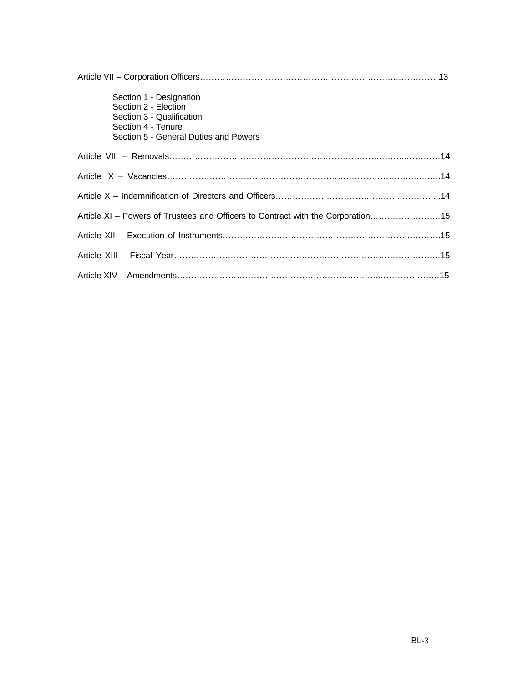| Section 1 - Designation<br>Section 2 - Election<br>Section 3 - Qualification<br>Section 4 - Tenure<br>Section 5 - General Duties and Powers |  |
|---------------------------------------------------------------------------------------------------------------------------------------------|--|
|                                                                                                                                             |  |
|                                                                                                                                             |  |
|                                                                                                                                             |  |
| Article XI - Powers of Trustees and Officers to Contract with the Corporation15                                                             |  |
|                                                                                                                                             |  |
|                                                                                                                                             |  |
|                                                                                                                                             |  |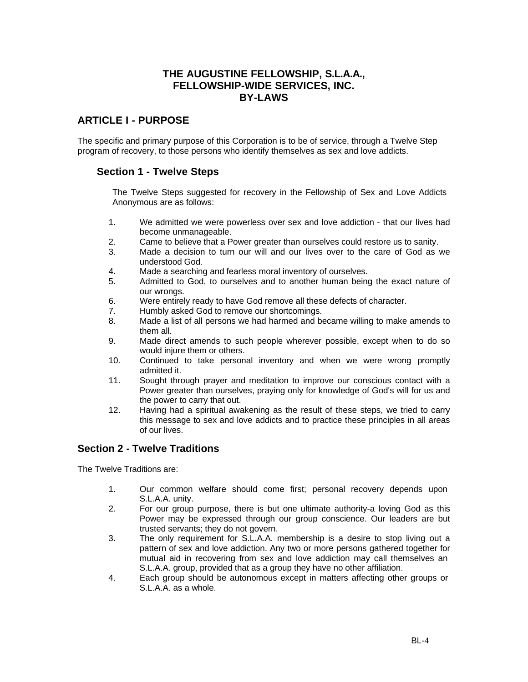# **THE AUGUSTINE FELLOWSHIP, S.L.A.A., FELLOWSHIP-WIDE SERVICES, INC. BY-LAWS**

# **ARTICLE I - PURPOSE**

The specific and primary purpose of this Corporation is to be of service, through a Twelve Step program of recovery, to those persons who identify themselves as sex and love addicts.

# **Section 1 - Twelve Steps**

The Twelve Steps suggested for recovery in the Fellowship of Sex and Love Addicts Anonymous are as follows:

- 1. We admitted we were powerless over sex and love addiction that our lives had become unmanageable.
- 2. Came to believe that a Power greater than ourselves could restore us to sanity.
- 3. Made a decision to turn our will and our lives over to the care of God as we understood God.
- 4. Made a searching and fearless moral inventory of ourselves.
- 5. Admitted to God, to ourselves and to another human being the exact nature of our wrongs.
- 6. Were entirely ready to have God remove all these defects of character.
- 7. Humbly asked God to remove our shortcomings.
- 8. Made a list of all persons we had harmed and became willing to make amends to them all.
- 9. Made direct amends to such people wherever possible, except when to do so would injure them or others.
- 10. Continued to take personal inventory and when we were wrong promptly admitted it.
- 11. Sought through prayer and meditation to improve our conscious contact with a Power greater than ourselves, praying only for knowledge of God's will for us and the power to carry that out.
- 12. Having had a spiritual awakening as the result of these steps, we tried to carry this message to sex and love addicts and to practice these principles in all areas of our lives.

# **Section 2 - Twelve Traditions**

The Twelve Traditions are:

- 1. Our common welfare should come first; personal recovery depends upon S.L.A.A. unity.
- 2. For our group purpose, there is but one ultimate authority-a loving God as this Power may be expressed through our group conscience. Our leaders are but trusted servants; they do not govern.
- 3. The only requirement for S.L.A.A. membership is a desire to stop living out a pattern of sex and love addiction. Any two or more persons gathered together for mutual aid in recovering from sex and love addiction may call themselves an S.L.A.A. group, provided that as a group they have no other affiliation.
- 4. Each group should be autonomous except in matters affecting other groups or S.L.A.A. as a whole.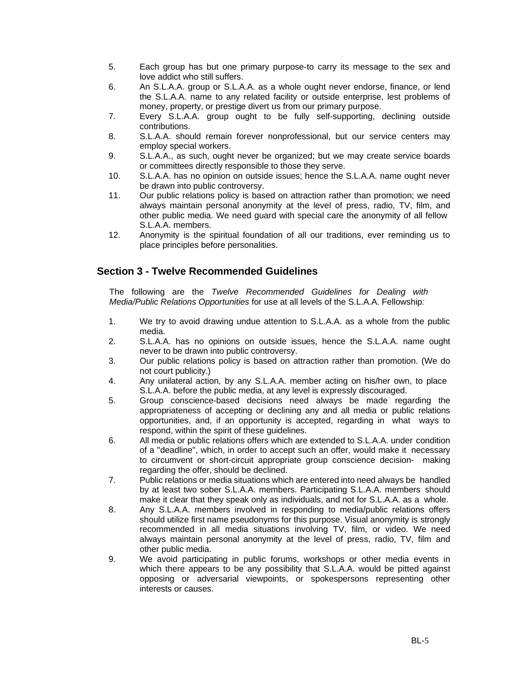- 5. Each group has but one primary purpose-to carry its message to the sex and love addict who still suffers.
- 6. An S.L.A.A. group or S.L.A.A. as a whole ought never endorse, finance, or lend the S.L.A.A. name to any related facility or outside enterprise, lest problems of money, property, or prestige divert us from our primary purpose.
- 7. Every S.L.A.A. group ought to be fully self-supporting, declining outside contributions.
- 8. S.L.A.A. should remain forever nonprofessional, but our service centers may employ special workers.
- 9. S.L.A.A., as such, ought never be organized; but we may create service boards or committees directly responsible to those they serve.
- 10. S.L.A.A. has no opinion on outside issues; hence the S.L.A.A. name ought never be drawn into public controversy.
- 11. Our public relations policy is based on attraction rather than promotion; we need always maintain personal anonymity at the level of press, radio, TV, film, and other public media. We need guard with special care the anonymity of all fellow S.L.A.A. members.
- 12. Anonymity is the spiritual foundation of all our traditions, ever reminding us to place principles before personalities.

# **Section 3 - Twelve Recommended Guidelines**

The following are the *Twelve Recommended Guidelines for Dealing with Media/Public Relations Opportunities* for use at all levels of the S.L.A.A. Fellowship*:*

- 1. We try to avoid drawing undue attention to S.L.A.A. as a whole from the public media.
- 2. S.L.A.A. has no opinions on outside issues, hence the S.L.A.A. name ought never to be drawn into public controversy.
- 3. Our public relations policy is based on attraction rather than promotion. (We do not court publicity.)
- 4. Any unilateral action, by any S.L.A.A. member acting on his/her own, to place S.L.A.A. before the public media, at any level is expressly discouraged.
- 5. Group conscience-based decisions need always be made regarding the appropriateness of accepting or declining any and all media or public relations opportunities, and, if an opportunity is accepted, regarding in what ways to respond, within the spirit of these guidelines.
- 6. All media or public relations offers which are extended to S.L.A.A. under condition of a "deadline", which, in order to accept such an offer, would make it necessary to circumvent or short-circuit appropriate group conscience decision- making regarding the offer, should be declined.
- 7. Public relations or media situations which are entered into need always be handled by at least two sober S.L.A.A. members. Participating S.L.A.A. members should make it clear that they speak only as individuals, and not for S.L.A.A. as a whole.
- 8. Any S.L.A.A. members involved in responding to media/public relations offers should utilize first name pseudonyms for this purpose. Visual anonymity is strongly recommended in all media situations involving TV, film, or video. We need always maintain personal anonymity at the level of press, radio, TV, film and other public media.
- 9. We avoid participating in public forums, workshops or other media events in which there appears to be any possibility that S.L.A.A. would be pitted against opposing or adversarial viewpoints, or spokespersons representing other interests or causes.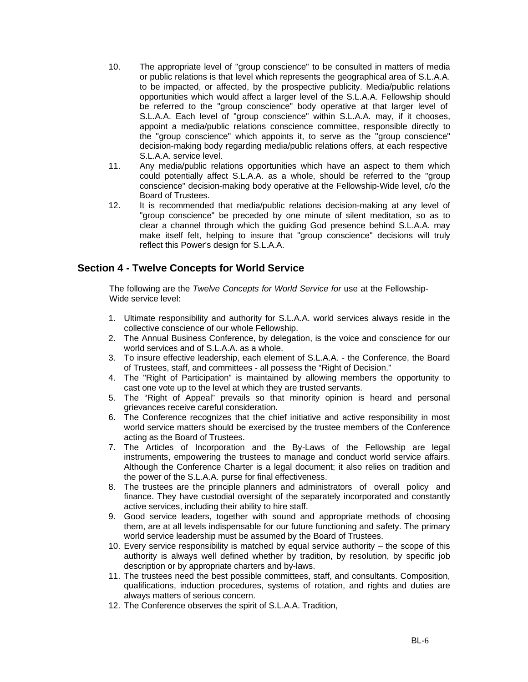- 10. The appropriate level of "group conscience" to be consulted in matters of media or public relations is that level which represents the geographical area of S.L.A.A. to be impacted, or affected, by the prospective publicity. Media/public relations opportunities which would affect a larger level of the S.L.A.A. Fellowship should be referred to the "group conscience" body operative at that larger level of S.L.A.A. Each level of "group conscience" within S.L.A.A. may, if it chooses, appoint a media/public relations conscience committee, responsible directly to the "group conscience" which appoints it, to serve as the "group conscience" decision-making body regarding media/public relations offers, at each respective S.L.A.A. service level.
- 11. Any media/public relations opportunities which have an aspect to them which could potentially affect S.L.A.A. as a whole, should be referred to the "group conscience" decision-making body operative at the Fellowship-Wide level, c/o the Board of Trustees.
- 12. It is recommended that media/public relations decision-making at any level of "group conscience" be preceded by one minute of silent meditation, so as to clear a channel through which the guiding God presence behind S.L.A.A. may make itself felt, helping to insure that "group conscience" decisions will truly reflect this Power's design for S.L.A.A.

# **Section 4 - Twelve Concepts for World Service**

The following are the *Twelve Concepts for World Service for* use at the Fellowship-Wide service level:

- 1. Ultimate responsibility and authority for S.L.A.A. world services always reside in the collective conscience of our whole Fellowship.
- 2. The Annual Business Conference, by delegation, is the voice and conscience for our world services and of S.L.A.A. as a whole.
- 3. To insure effective leadership, each element of S.L.A.A. the Conference, the Board of Trustees, staff, and committees - all possess the "Right of Decision."
- 4. The "Right of Participation" is maintained by allowing members the opportunity to cast one vote up to the level at which they are trusted servants.
- 5. The "Right of Appeal" prevails so that minority opinion is heard and personal grievances receive careful consideration.
- 6. The Conference recognizes that the chief initiative and active responsibility in most world service matters should be exercised by the trustee members of the Conference acting as the Board of Trustees.
- 7. The Articles of Incorporation and the By-Laws of the Fellowship are legal instruments, empowering the trustees to manage and conduct world service affairs. Although the Conference Charter is a legal document; it also relies on tradition and the power of the S.L.A.A. purse for final effectiveness.
- 8. The trustees are the principle planners and administrators of overall policy and finance. They have custodial oversight of the separately incorporated and constantly active services, including their ability to hire staff.
- 9. Good service leaders, together with sound and appropriate methods of choosing them, are at all levels indispensable for our future functioning and safety. The primary world service leadership must be assumed by the Board of Trustees.
- 10. Every service responsibility is matched by equal service authority the scope of this authority is always well defined whether by tradition, by resolution, by specific job description or by appropriate charters and by-laws.
- 11. The trustees need the best possible committees, staff, and consultants. Composition, qualifications, induction procedures, systems of rotation, and rights and duties are always matters of serious concern.
- 12. The Conference observes the spirit of S.L.A.A. Tradition,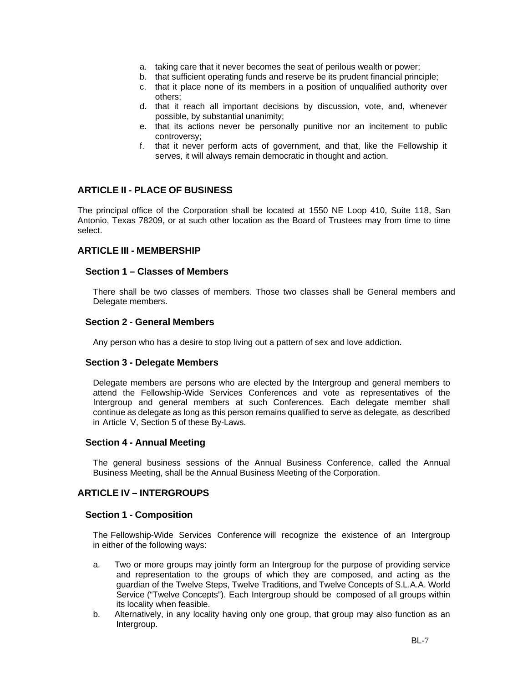- a. taking care that it never becomes the seat of perilous wealth or power;
- b. that sufficient operating funds and reserve be its prudent financial principle;
- c. that it place none of its members in a position of unqualified authority over others;
- d. that it reach all important decisions by discussion, vote, and, whenever possible, by substantial unanimity;
- e. that its actions never be personally punitive nor an incitement to public controversy;
- f. that it never perform acts of government, and that, like the Fellowship it serves, it will always remain democratic in thought and action.

# **ARTICLE II - PLACE OF BUSINESS**

The principal office of the Corporation shall be located at 1550 NE Loop 410, Suite 118, San Antonio, Texas 78209, or at such other location as the Board of Trustees may from time to time select.

#### **ARTICLE III - MEMBERSHIP**

#### **Section 1 – Classes of Members**

There shall be two classes of members. Those two classes shall be General members and Delegate members.

#### **Section 2 - General Members**

Any person who has a desire to stop living out a pattern of sex and love addiction.

#### **Section 3 - Delegate Members**

Delegate members are persons who are elected by the Intergroup and general members to attend the Fellowship-Wide Services Conferences and vote as representatives of the Intergroup and general members at such Conferences. Each delegate member shall continue as delegate as long as this person remains qualified to serve as delegate, as described in Article V, Section 5 of these By-Laws.

#### **Section 4 - Annual Meeting**

The general business sessions of the Annual Business Conference, called the Annual Business Meeting, shall be the Annual Business Meeting of the Corporation.

#### **ARTICLE IV – INTERGROUPS**

#### **Section 1 - Composition**

The Fellowship-Wide Services Conference will recognize the existence of an Intergroup in either of the following ways:

- a. Two or more groups may jointly form an Intergroup for the purpose of providing service and representation to the groups of which they are composed, and acting as the guardian of the Twelve Steps, Twelve Traditions, and Twelve Concepts of S.L.A.A. World Service ("Twelve Concepts"). Each Intergroup should be composed of all groups within its locality when feasible.
- b. Alternatively, in any locality having only one group, that group may also function as an Intergroup.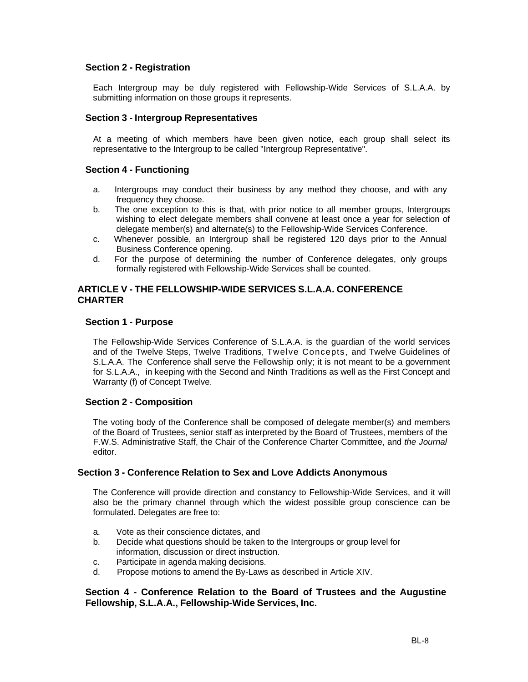#### **Section 2 - Registration**

Each Intergroup may be duly registered with Fellowship-Wide Services of S.L.A.A. by submitting information on those groups it represents.

#### **Section 3 - Intergroup Representatives**

At a meeting of which members have been given notice, each group shall select its representative to the Intergroup to be called "Intergroup Representative".

### **Section 4 - Functioning**

- a. Intergroups may conduct their business by any method they choose, and with any frequency they choose.
- b. The one exception to this is that, with prior notice to all member groups, Intergroups wishing to elect delegate members shall convene at least once a year for selection of delegate member(s) and alternate(s) to the Fellowship-Wide Services Conference.
- c. Whenever possible, an Intergroup shall be registered 120 days prior to the Annual Business Conference opening.
- d. For the purpose of determining the number of Conference delegates, only groups formally registered with Fellowship-Wide Services shall be counted.

#### **ARTICLE V - THE FELLOWSHIP-WIDE SERVICES S.L.A.A. CONFERENCE CHARTER**

#### **Section 1 - Purpose**

The Fellowship-Wide Services Conference of S.L.A.A. is the guardian of the world services and of the Twelve Steps, Twelve Traditions, Twelve Concepts, and Twelve Guidelines of S.L.A.A. The Conference shall serve the Fellowship only; it is not meant to be a government for S.L.A.A., in keeping with the Second and Ninth Traditions as well as the First Concept and Warranty (f) of Concept Twelve.

#### **Section 2 - Composition**

The voting body of the Conference shall be composed of delegate member(s) and members of the Board of Trustees, senior staff as interpreted by the Board of Trustees, members of the F.W.S. Administrative Staff, the Chair of the Conference Charter Committee, and *the Journal* editor.

#### **Section 3 - Conference Relation to Sex and Love Addicts Anonymous**

The Conference will provide direction and constancy to Fellowship-Wide Services, and it will also be the primary channel through which the widest possible group conscience can be formulated. Delegates are free to:

- a. Vote as their conscience dictates, and
- b. Decide what questions should be taken to the Intergroups or group level for information, discussion or direct instruction.
- c. Participate in agenda making decisions.
- d. Propose motions to amend the By-Laws as described in Article XIV.

#### **Section 4 - Conference Relation to the Board of Trustees and the Augustine Fellowship, S.L.A.A., Fellowship-Wide Services, Inc.**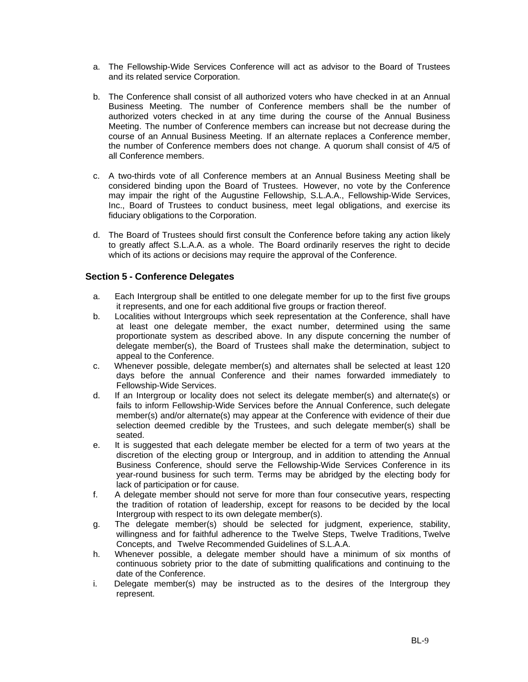- a. The Fellowship-Wide Services Conference will act as advisor to the Board of Trustees and its related service Corporation.
- b. The Conference shall consist of all authorized voters who have checked in at an Annual Business Meeting. The number of Conference members shall be the number of authorized voters checked in at any time during the course of the Annual Business Meeting. The number of Conference members can increase but not decrease during the course of an Annual Business Meeting. If an alternate replaces a Conference member, the number of Conference members does not change. A quorum shall consist of 4/5 of all Conference members.
- c. A two-thirds vote of all Conference members at an Annual Business Meeting shall be considered binding upon the Board of Trustees. However, no vote by the Conference may impair the right of the Augustine Fellowship, S.L.A.A., Fellowship-Wide Services, Inc., Board of Trustees to conduct business, meet legal obligations, and exercise its fiduciary obligations to the Corporation.
- d. The Board of Trustees should first consult the Conference before taking any action likely to greatly affect S.L.A.A. as a whole. The Board ordinarily reserves the right to decide which of its actions or decisions may require the approval of the Conference.

# **Section 5 - Conference Delegates**

- a. Each Intergroup shall be entitled to one delegate member for up to the first five groups it represents, and one for each additional five groups or fraction thereof.
- b. Localities without Intergroups which seek representation at the Conference, shall have at least one delegate member, the exact number, determined using the same proportionate system as described above. In any dispute concerning the number of delegate member(s), the Board of Trustees shall make the determination, subject to appeal to the Conference.
- c. Whenever possible, delegate member(s) and alternates shall be selected at least 120 days before the annual Conference and their names forwarded immediately to Fellowship-Wide Services.
- d. If an Intergroup or locality does not select its delegate member(s) and alternate(s) or fails to inform Fellowship-Wide Services before the Annual Conference, such delegate member(s) and/or alternate(s) may appear at the Conference with evidence of their due selection deemed credible by the Trustees, and such delegate member(s) shall be seated.
- e. It is suggested that each delegate member be elected for a term of two years at the discretion of the electing group or Intergroup, and in addition to attending the Annual Business Conference, should serve the Fellowship-Wide Services Conference in its year-round business for such term. Terms may be abridged by the electing body for lack of participation or for cause.
- f. A delegate member should not serve for more than four consecutive years, respecting the tradition of rotation of leadership, except for reasons to be decided by the local Intergroup with respect to its own delegate member(s).
- g. The delegate member(s) should be selected for judgment, experience, stability, willingness and for faithful adherence to the Twelve Steps, Twelve Traditions, Twelve Concepts, and Twelve Recommended Guidelines of S.L.A.A.
- h. Whenever possible, a delegate member should have a minimum of six months of continuous sobriety prior to the date of submitting qualifications and continuing to the date of the Conference.
- i. Delegate member(s) may be instructed as to the desires of the Intergroup they represent.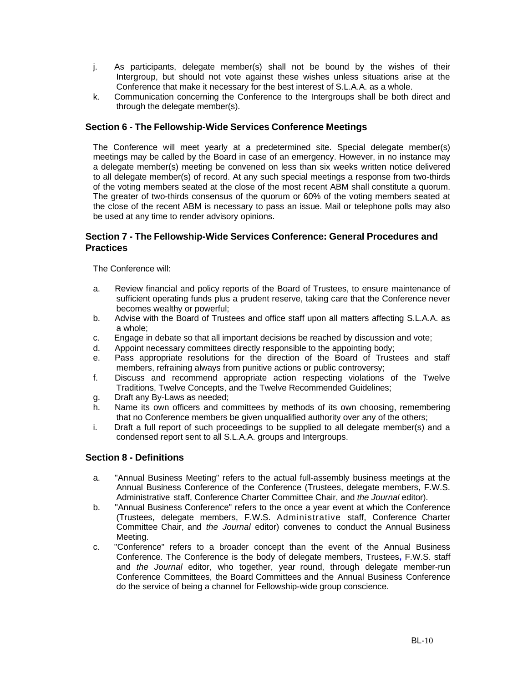- j. As participants, delegate member(s) shall not be bound by the wishes of their Intergroup, but should not vote against these wishes unless situations arise at the Conference that make it necessary for the best interest of S.L.A.A. as a whole.
- k. Communication concerning the Conference to the Intergroups shall be both direct and through the delegate member(s).

# **Section 6 - The Fellowship-Wide Services Conference Meetings**

The Conference will meet yearly at a predetermined site. Special delegate member(s) meetings may be called by the Board in case of an emergency. However, in no instance may a delegate member(s) meeting be convened on less than six weeks written notice delivered to all delegate member(s) of record. At any such special meetings a response from two-thirds of the voting members seated at the close of the most recent ABM shall constitute a quorum. The greater of two-thirds consensus of the quorum or 60% of the voting members seated at the close of the recent ABM is necessary to pass an issue. Mail or telephone polls may also be used at any time to render advisory opinions.

# **Section 7 - The Fellowship-Wide Services Conference: General Procedures and Practices**

The Conference will:

- a. Review financial and policy reports of the Board of Trustees, to ensure maintenance of sufficient operating funds plus a prudent reserve, taking care that the Conference never becomes wealthy or powerful;
- b. Advise with the Board of Trustees and office staff upon all matters affecting S.L.A.A. as a whole;
- c. Engage in debate so that all important decisions be reached by discussion and vote;
- d. Appoint necessary committees directly responsible to the appointing body;
- e. Pass appropriate resolutions for the direction of the Board of Trustees and staff members, refraining always from punitive actions or public controversy;
- f. Discuss and recommend appropriate action respecting violations of the Twelve Traditions, Twelve Concepts, and the Twelve Recommended Guidelines;
- g. Draft any By-Laws as needed;
- h. Name its own officers and committees by methods of its own choosing, remembering that no Conference members be given unqualified authority over any of the others;
- i. Draft a full report of such proceedings to be supplied to all delegate member(s) and a condensed report sent to all S.L.A.A. groups and Intergroups.

#### **Section 8 - Definitions**

- a. "Annual Business Meeting" refers to the actual full-assembly business meetings at the Annual Business Conference of the Conference (Trustees, delegate members, F.W.S. Administrative staff, Conference Charter Committee Chair, and *the Journal* editor).
- b. "Annual Business Conference" refers to the once a year event at which the Conference (Trustees, delegate members, F.W.S. Administrative staff, Conference Charter Committee Chair, and *the Journal* editor) convenes to conduct the Annual Business Meeting.
- c. "Conference" refers to a broader concept than the event of the Annual Business Conference. The Conference is the body of delegate members, Trustees**,** F.W.S. staff and *the Journal* editor, who together, year round, through delegate member-run Conference Committees, the Board Committees and the Annual Business Conference do the service of being a channel for Fellowship-wide group conscience.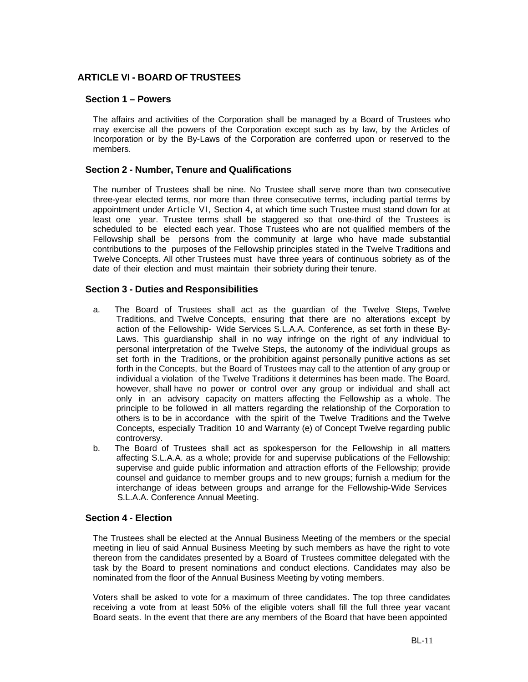# **ARTICLE VI - BOARD OF TRUSTEES**

#### **Section 1 – Powers**

The affairs and activities of the Corporation shall be managed by a Board of Trustees who may exercise all the powers of the Corporation except such as by law, by the Articles of Incorporation or by the By-Laws of the Corporation are conferred upon or reserved to the members.

#### **Section 2 - Number, Tenure and Qualifications**

The number of Trustees shall be nine. No Trustee shall serve more than two consecutive three-year elected terms, nor more than three consecutive terms, including partial terms by appointment under Article VI, Section 4, at which time such Trustee must stand down for at least one year. Trustee terms shall be staggered so that one-third of the Trustees is scheduled to be elected each year. Those Trustees who are not qualified members of the Fellowship shall be persons from the community at large who have made substantial contributions to the purposes of the Fellowship principles stated in the Twelve Traditions and Twelve Concepts. All other Trustees must have three years of continuous sobriety as of the date of their election and must maintain their sobriety during their tenure.

#### **Section 3 - Duties and Responsibilities**

- a. The Board of Trustees shall act as the guardian of the Twelve Steps, Twelve Traditions, and Twelve Concepts, ensuring that there are no alterations except by action of the Fellowship- Wide Services S.L.A.A. Conference, as set forth in these By-Laws. This guardianship shall in no way infringe on the right of any individual to personal interpretation of the Twelve Steps, the autonomy of the individual groups as set forth in the Traditions, or the prohibition against personally punitive actions as set forth in the Concepts, but the Board of Trustees may call to the attention of any group or individual a violation of the Twelve Traditions it determines has been made. The Board, however, shall have no power or control over any group or individual and shall act only in an advisory capacity on matters affecting the Fellowship as a whole. The principle to be followed in all matters regarding the relationship of the Corporation to others is to be in accordance with the spirit of the Twelve Traditions and the Twelve Concepts, especially Tradition 10 and Warranty (e) of Concept Twelve regarding public controversy.
- b. The Board of Trustees shall act as spokesperson for the Fellowship in all matters affecting S.L.A.A. as a whole; provide for and supervise publications of the Fellowship; supervise and guide public information and attraction efforts of the Fellowship; provide counsel and guidance to member groups and to new groups; furnish a medium for the interchange of ideas between groups and arrange for the Fellowship-Wide Services S.L.A.A. Conference Annual Meeting.

#### **Section 4 - Election**

The Trustees shall be elected at the Annual Business Meeting of the members or the special meeting in lieu of said Annual Business Meeting by such members as have the right to vote thereon from the candidates presented by a Board of Trustees committee delegated with the task by the Board to present nominations and conduct elections. Candidates may also be nominated from the floor of the Annual Business Meeting by voting members.

Voters shall be asked to vote for a maximum of three candidates. The top three candidates receiving a vote from at least 50% of the eligible voters shall fill the full three year vacant Board seats. In the event that there are any members of the Board that have been appointed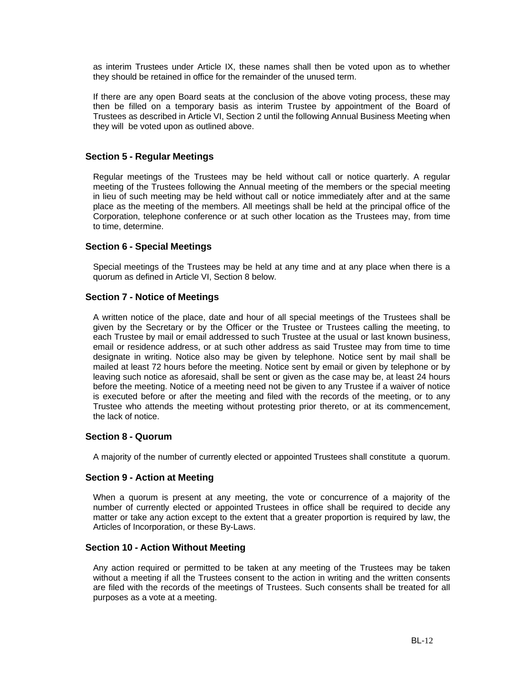as interim Trustees under Article IX, these names shall then be voted upon as to whether they should be retained in office for the remainder of the unused term.

If there are any open Board seats at the conclusion of the above voting process, these may then be filled on a temporary basis as interim Trustee by appointment of the Board of Trustees as described in Article VI, Section 2 until the following Annual Business Meeting when they will be voted upon as outlined above.

# **Section 5 - Regular Meetings**

Regular meetings of the Trustees may be held without call or notice quarterly. A regular meeting of the Trustees following the Annual meeting of the members or the special meeting in lieu of such meeting may be held without call or notice immediately after and at the same place as the meeting of the members. All meetings shall be held at the principal office of the Corporation, telephone conference or at such other location as the Trustees may, from time to time, determine.

#### **Section 6 - Special Meetings**

Special meetings of the Trustees may be held at any time and at any place when there is a quorum as defined in Article VI, Section 8 below.

#### **Section 7 - Notice of Meetings**

A written notice of the place, date and hour of all special meetings of the Trustees shall be given by the Secretary or by the Officer or the Trustee or Trustees calling the meeting, to each Trustee by mail or email addressed to such Trustee at the usual or last known business, email or residence address, or at such other address as said Trustee may from time to time designate in writing. Notice also may be given by telephone. Notice sent by mail shall be mailed at least 72 hours before the meeting. Notice sent by email or given by telephone or by leaving such notice as aforesaid, shall be sent or given as the case may be, at least 24 hours before the meeting. Notice of a meeting need not be given to any Trustee if a waiver of notice is executed before or after the meeting and filed with the records of the meeting, or to any Trustee who attends the meeting without protesting prior thereto, or at its commencement, the lack of notice.

#### **Section 8 - Quorum**

A majority of the number of currently elected or appointed Trustees shall constitute a quorum.

#### **Section 9 - Action at Meeting**

When a quorum is present at any meeting, the vote or concurrence of a majority of the number of currently elected or appointed Trustees in office shall be required to decide any matter or take any action except to the extent that a greater proportion is required by law, the Articles of Incorporation, or these By-Laws.

#### **Section 10 - Action Without Meeting**

Any action required or permitted to be taken at any meeting of the Trustees may be taken without a meeting if all the Trustees consent to the action in writing and the written consents are filed with the records of the meetings of Trustees. Such consents shall be treated for all purposes as a vote at a meeting.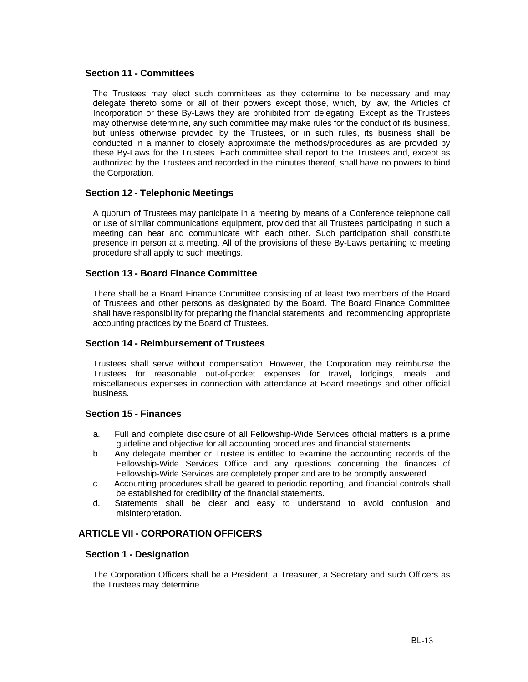#### **Section 11 - Committees**

The Trustees may elect such committees as they determine to be necessary and may delegate thereto some or all of their powers except those, which, by law, the Articles of Incorporation or these By-Laws they are prohibited from delegating. Except as the Trustees may otherwise determine, any such committee may make rules for the conduct of its business, but unless otherwise provided by the Trustees, or in such rules, its business shall be conducted in a manner to closely approximate the methods/procedures as are provided by these By-Laws for the Trustees. Each committee shall report to the Trustees and, except as authorized by the Trustees and recorded in the minutes thereof, shall have no powers to bind the Corporation.

# **Section 12 - Telephonic Meetings**

A quorum of Trustees may participate in a meeting by means of a Conference telephone call or use of similar communications equipment, provided that all Trustees participating in such a meeting can hear and communicate with each other. Such participation shall constitute presence in person at a meeting. All of the provisions of these By-Laws pertaining to meeting procedure shall apply to such meetings.

# **Section 13 - Board Finance Committee**

There shall be a Board Finance Committee consisting of at least two members of the Board of Trustees and other persons as designated by the Board. The Board Finance Committee shall have responsibility for preparing the financial statements and recommending appropriate accounting practices by the Board of Trustees.

#### **Section 14 - Reimbursement of Trustees**

Trustees shall serve without compensation. However, the Corporation may reimburse the Trustees for reasonable out-of-pocket expenses for travel**,** lodgings, meals and miscellaneous expenses in connection with attendance at Board meetings and other official business.

#### **Section 15 - Finances**

- a. Full and complete disclosure of all Fellowship-Wide Services official matters is a prime guideline and objective for all accounting procedures and financial statements.
- b. Any delegate member or Trustee is entitled to examine the accounting records of the Fellowship-Wide Services Office and any questions concerning the finances of Fellowship-Wide Services are completely proper and are to be promptly answered.
- c. Accounting procedures shall be geared to periodic reporting, and financial controls shall be established for credibility of the financial statements.
- d. Statements shall be clear and easy to understand to avoid confusion and misinterpretation.

# **ARTICLE VII - CORPORATION OFFICERS**

#### **Section 1 - Designation**

The Corporation Officers shall be a President, a Treasurer, a Secretary and such Officers as the Trustees may determine.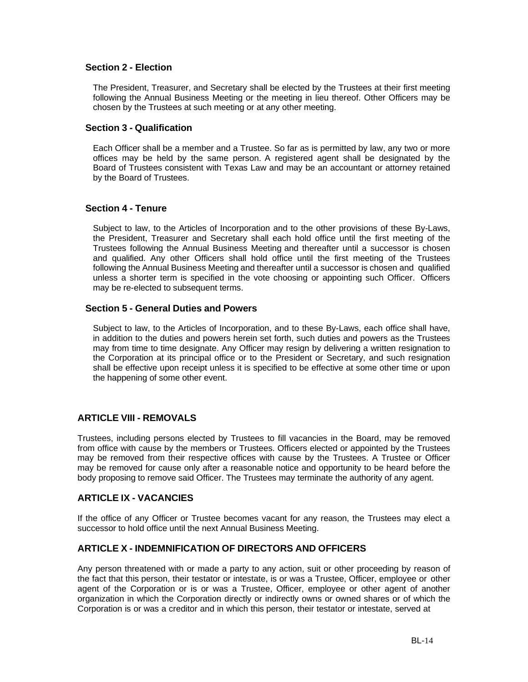### **Section 2 - Election**

The President, Treasurer, and Secretary shall be elected by the Trustees at their first meeting following the Annual Business Meeting or the meeting in lieu thereof. Other Officers may be chosen by the Trustees at such meeting or at any other meeting.

#### **Section 3 - Qualification**

Each Officer shall be a member and a Trustee. So far as is permitted by law, any two or more offices may be held by the same person. A registered agent shall be designated by the Board of Trustees consistent with Texas Law and may be an accountant or attorney retained by the Board of Trustees.

#### **Section 4 - Tenure**

Subject to law, to the Articles of Incorporation and to the other provisions of these By-Laws, the President, Treasurer and Secretary shall each hold office until the first meeting of the Trustees following the Annual Business Meeting and thereafter until a successor is chosen and qualified. Any other Officers shall hold office until the first meeting of the Trustees following the Annual Business Meeting and thereafter until a successor is chosen and qualified unless a shorter term is specified in the vote choosing or appointing such Officer. Officers may be re-elected to subsequent terms.

# **Section 5 - General Duties and Powers**

Subject to law, to the Articles of Incorporation, and to these By-Laws, each office shall have, in addition to the duties and powers herein set forth, such duties and powers as the Trustees may from time to time designate. Any Officer may resign by delivering a written resignation to the Corporation at its principal office or to the President or Secretary, and such resignation shall be effective upon receipt unless it is specified to be effective at some other time or upon the happening of some other event.

#### **ARTICLE VIII - REMOVALS**

Trustees, including persons elected by Trustees to fill vacancies in the Board, may be removed from office with cause by the members or Trustees. Officers elected or appointed by the Trustees may be removed from their respective offices with cause by the Trustees. A Trustee or Officer may be removed for cause only after a reasonable notice and opportunity to be heard before the body proposing to remove said Officer. The Trustees may terminate the authority of any agent.

#### **ARTICLE IX - VACANCIES**

If the office of any Officer or Trustee becomes vacant for any reason, the Trustees may elect a successor to hold office until the next Annual Business Meeting.

#### **ARTICLE X - INDEMNIFICATION OF DIRECTORS AND OFFICERS**

Any person threatened with or made a party to any action, suit or other proceeding by reason of the fact that this person, their testator or intestate, is or was a Trustee, Officer, employee or other agent of the Corporation or is or was a Trustee, Officer, employee or other agent of another organization in which the Corporation directly or indirectly owns or owned shares or of which the Corporation is or was a creditor and in which this person, their testator or intestate, served at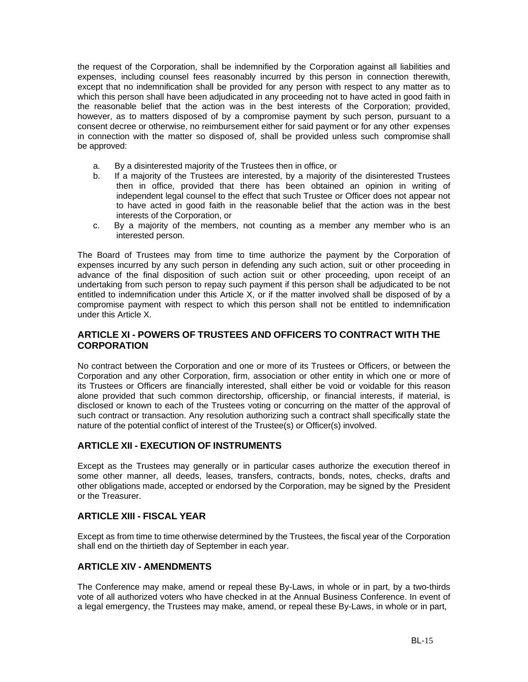the request of the Corporation, shall be indemnified by the Corporation against all liabilities and expenses, including counsel fees reasonably incurred by this person in connection therewith, except that no indemnification shall be provided for any person with respect to any matter as to which this person shall have been adjudicated in any proceeding not to have acted in good faith in the reasonable belief that the action was in the best interests of the Corporation; provided, however, as to matters disposed of by a compromise payment by such person, pursuant to a consent decree or otherwise, no reimbursement either for said payment or for any other expenses in connection with the matter so disposed of, shall be provided unless such compromise shall be approved:

- a. By a disinterested majority of the Trustees then in office, or
- b. If a majority of the Trustees are interested, by a majority of the disinterested Trustees then in office, provided that there has been obtained an opinion in writing of independent legal counsel to the effect that such Trustee or Officer does not appear not to have acted in good faith in the reasonable belief that the action was in the best interests of the Corporation, or
- c. By a majority of the members, not counting as a member any member who is an interested person.

The Board of Trustees may from time to time authorize the payment by the Corporation of expenses incurred by any such person in defending any such action, suit or other proceeding in advance of the final disposition of such action suit or other proceeding, upon receipt of an undertaking from such person to repay such payment if this person shall be adjudicated to be not entitled to indemnification under this Article X, or if the matter involved shall be disposed of by a compromise payment with respect to which this person shall not be entitled to indemnification under this Article X.

# **ARTICLE XI - POWERS OF TRUSTEES AND OFFICERS TO CONTRACT WITH THE CORPORATION**

No contract between the Corporation and one or more of its Trustees or Officers, or between the Corporation and any other Corporation, firm, association or other entity in which one or more of its Trustees or Officers are financially interested, shall either be void or voidable for this reason alone provided that such common directorship, officership, or financial interests, if material, is disclosed or known to each of the Trustees voting or concurring on the matter of the approval of such contract or transaction. Any resolution authorizing such a contract shall specifically state the nature of the potential conflict of interest of the Trustee(s) or Officer(s) involved.

# **ARTICLE XII - EXECUTION OF INSTRUMENTS**

Except as the Trustees may generally or in particular cases authorize the execution thereof in some other manner, all deeds, leases, transfers, contracts, bonds, notes, checks, drafts and other obligations made, accepted or endorsed by the Corporation, may be signed by the President or the Treasurer.

# **ARTICLE XIII - FISCAL YEAR**

Except as from time to time otherwise determined by the Trustees, the fiscal year of the Corporation shall end on the thirtieth day of September in each year.

# **ARTICLE XIV - AMENDMENTS**

The Conference may make, amend or repeal these By-Laws, in whole or in part, by a two-thirds vote of all authorized voters who have checked in at the Annual Business Conference. In event of a legal emergency, the Trustees may make, amend, or repeal these By-Laws, in whole or in part,